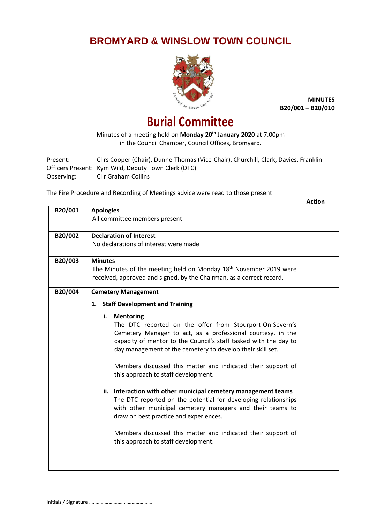## **BROMYARD & WINSLOW TOWN COUNCIL**



**MINUTES B20/001 – B20/010**

## **Burial Committee**

Minutes of a meeting held on **Monday 20th January 2020** at 7.00pm in the Council Chamber, Council Offices, Bromyard.

Present: Cllrs Cooper (Chair), Dunne-Thomas (Vice-Chair), Churchill, Clark, Davies, Franklin Officers Present: Kym Wild, Deputy Town Clerk (DTC) Observing: Cllr Graham Collins

The Fire Procedure and Recording of Meetings advice were read to those present

|         |                                                                                                                                | <b>Action</b> |
|---------|--------------------------------------------------------------------------------------------------------------------------------|---------------|
| B20/001 | <b>Apologies</b>                                                                                                               |               |
|         | All committee members present                                                                                                  |               |
| B20/002 | <b>Declaration of Interest</b>                                                                                                 |               |
|         | No declarations of interest were made                                                                                          |               |
| B20/003 | <b>Minutes</b>                                                                                                                 |               |
|         | The Minutes of the meeting held on Monday 18 <sup>th</sup> November 2019 were                                                  |               |
|         | received, approved and signed, by the Chairman, as a correct record.                                                           |               |
| B20/004 | <b>Cemetery Management</b>                                                                                                     |               |
|         | <b>Staff Development and Training</b><br>1.                                                                                    |               |
|         | <b>Mentoring</b><br>i.                                                                                                         |               |
|         | The DTC reported on the offer from Stourport-On-Severn's                                                                       |               |
|         | Cemetery Manager to act, as a professional courtesy, in the                                                                    |               |
|         | capacity of mentor to the Council's staff tasked with the day to<br>day management of the cemetery to develop their skill set. |               |
|         | Members discussed this matter and indicated their support of                                                                   |               |
|         | this approach to staff development.                                                                                            |               |
|         | ii. Interaction with other municipal cemetery management teams                                                                 |               |
|         | The DTC reported on the potential for developing relationships                                                                 |               |
|         | with other municipal cemetery managers and their teams to                                                                      |               |
|         | draw on best practice and experiences.                                                                                         |               |
|         | Members discussed this matter and indicated their support of                                                                   |               |
|         | this approach to staff development.                                                                                            |               |
|         |                                                                                                                                |               |
|         |                                                                                                                                |               |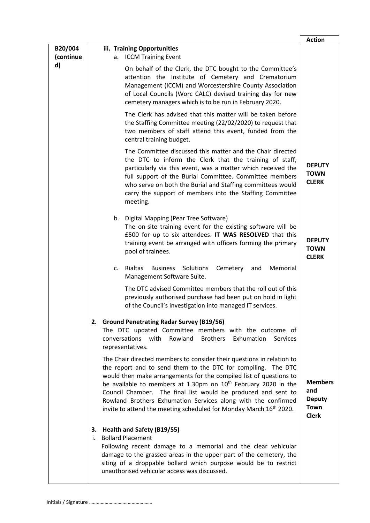|                      |                                                                                                                                                                                                                                                                                                                                                                                                                                                                                                                | <b>Action</b>                                                         |
|----------------------|----------------------------------------------------------------------------------------------------------------------------------------------------------------------------------------------------------------------------------------------------------------------------------------------------------------------------------------------------------------------------------------------------------------------------------------------------------------------------------------------------------------|-----------------------------------------------------------------------|
| B20/004<br>(continue | iii. Training Opportunities<br><b>ICCM Training Event</b><br>a.                                                                                                                                                                                                                                                                                                                                                                                                                                                |                                                                       |
| d)                   | On behalf of the Clerk, the DTC bought to the Committee's<br>attention the Institute of Cemetery and Crematorium<br>Management (ICCM) and Worcestershire County Association<br>of Local Councils (Worc CALC) devised training day for new<br>cemetery managers which is to be run in February 2020.                                                                                                                                                                                                            |                                                                       |
|                      | The Clerk has advised that this matter will be taken before<br>the Staffing Committee meeting (22/02/2020) to request that<br>two members of staff attend this event, funded from the<br>central training budget.                                                                                                                                                                                                                                                                                              |                                                                       |
|                      | The Committee discussed this matter and the Chair directed<br>the DTC to inform the Clerk that the training of staff,<br>particularly via this event, was a matter which received the<br>full support of the Burial Committee. Committee members<br>who serve on both the Burial and Staffing committees would<br>carry the support of members into the Staffing Committee<br>meeting.                                                                                                                         | <b>DEPUTY</b><br><b>TOWN</b><br><b>CLERK</b>                          |
|                      | b. Digital Mapping (Pear Tree Software)<br>The on-site training event for the existing software will be<br>£500 for up to six attendees. IT WAS RESOLVED that this<br>training event be arranged with officers forming the primary<br>pool of trainees.                                                                                                                                                                                                                                                        | <b>DEPUTY</b><br><b>TOWN</b><br><b>CLERK</b>                          |
|                      | Rialtas<br>Solutions<br>Cemetery<br>Memorial<br><b>Business</b><br>$\mathsf{C}$ .<br>and<br>Management Software Suite.                                                                                                                                                                                                                                                                                                                                                                                         |                                                                       |
|                      | The DTC advised Committee members that the roll out of this<br>previously authorised purchase had been put on hold in light<br>of the Council's investigation into managed IT services.                                                                                                                                                                                                                                                                                                                        |                                                                       |
|                      | 2. Ground Penetrating Radar Survey (B19/56)<br>The DTC updated Committee members with the outcome of<br>conversations with Rowland<br>Brothers Exhumation<br><b>Services</b><br>representatives.                                                                                                                                                                                                                                                                                                               |                                                                       |
|                      | The Chair directed members to consider their questions in relation to<br>the report and to send them to the DTC for compiling. The DTC<br>would then make arrangements for the compiled list of questions to<br>be available to members at 1.30pm on 10 <sup>th</sup> February 2020 in the<br>Council Chamber. The final list would be produced and sent to<br>Rowland Brothers Exhumation Services along with the confirmed<br>invite to attend the meeting scheduled for Monday March 16 <sup>th</sup> 2020. | <b>Members</b><br>and<br><b>Deputy</b><br><b>Town</b><br><b>Clerk</b> |
|                      | 3. Health and Safety (B19/55)<br><b>Bollard Placement</b><br>i.<br>Following recent damage to a memorial and the clear vehicular<br>damage to the grassed areas in the upper part of the cemetery, the<br>siting of a droppable bollard which purpose would be to restrict<br>unauthorised vehicular access was discussed.                                                                                                                                                                                     |                                                                       |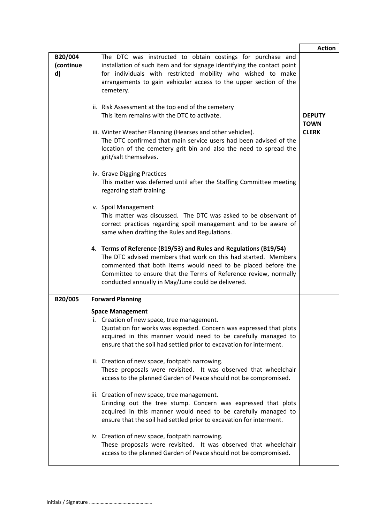|                            |                                                                                                                                                                                                                                                                                                                               | <b>Action</b>                |
|----------------------------|-------------------------------------------------------------------------------------------------------------------------------------------------------------------------------------------------------------------------------------------------------------------------------------------------------------------------------|------------------------------|
| B20/004<br>(continue<br>d) | The DTC was instructed to obtain costings for purchase and<br>installation of such item and for signage identifying the contact point<br>for individuals with restricted mobility who wished to make<br>arrangements to gain vehicular access to the upper section of the<br>cemetery.                                        |                              |
|                            | ii. Risk Assessment at the top end of the cemetery<br>This item remains with the DTC to activate.                                                                                                                                                                                                                             | <b>DEPUTY</b><br><b>TOWN</b> |
|                            | iii. Winter Weather Planning (Hearses and other vehicles).<br>The DTC confirmed that main service users had been advised of the<br>location of the cemetery grit bin and also the need to spread the<br>grit/salt themselves.                                                                                                 | <b>CLERK</b>                 |
|                            | iv. Grave Digging Practices<br>This matter was deferred until after the Staffing Committee meeting<br>regarding staff training.                                                                                                                                                                                               |                              |
|                            | v. Spoil Management<br>This matter was discussed. The DTC was asked to be observant of<br>correct practices regarding spoil management and to be aware of<br>same when drafting the Rules and Regulations.                                                                                                                    |                              |
|                            | 4. Terms of Reference (B19/53) and Rules and Regulations (B19/54)<br>The DTC advised members that work on this had started. Members<br>commented that both items would need to be placed before the<br>Committee to ensure that the Terms of Reference review, normally<br>conducted annually in May/June could be delivered. |                              |
| B20/005                    | <b>Forward Planning</b>                                                                                                                                                                                                                                                                                                       |                              |
|                            | <b>Space Management</b><br>i. Creation of new space, tree management.<br>Quotation for works was expected. Concern was expressed that plots<br>acquired in this manner would need to be carefully managed to<br>ensure that the soil had settled prior to excavation for interment.                                           |                              |
|                            | ii. Creation of new space, footpath narrowing.<br>These proposals were revisited. It was observed that wheelchair<br>access to the planned Garden of Peace should not be compromised.                                                                                                                                         |                              |
|                            | iii. Creation of new space, tree management.<br>Grinding out the tree stump. Concern was expressed that plots<br>acquired in this manner would need to be carefully managed to<br>ensure that the soil had settled prior to excavation for interment.                                                                         |                              |
|                            | iv. Creation of new space, footpath narrowing.<br>These proposals were revisited. It was observed that wheelchair<br>access to the planned Garden of Peace should not be compromised.                                                                                                                                         |                              |